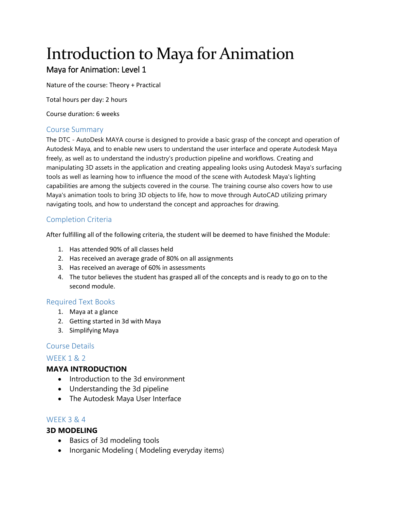# Introduction to Maya for Animation

## Maya for Animation: Level 1

Nature of the course: Theory + Practical

Total hours per day: 2 hours

Course duration: 6 weeks

## Course Summary

The DTC - AutoDesk MAYA course is designed to provide a basic grasp of the concept and operation of Autodesk Maya, and to enable new users to understand the user interface and operate Autodesk Maya freely, as well as to understand the industry's production pipeline and workflows. Creating and manipulating 3D assets in the application and creating appealing looks using Autodesk Maya's surfacing tools as well as learning how to influence the mood of the scene with Autodesk Maya's lighting capabilities are among the subjects covered in the course. The training course also covers how to use Maya's animation tools to bring 3D objects to life, how to move through AutoCAD utilizing primary navigating tools, and how to understand the concept and approaches for drawing.

## Completion Criteria

After fulfilling all of the following criteria, the student will be deemed to have finished the Module:

- 1. Has attended 90% of all classes held
- 2. Has received an average grade of 80% on all assignments
- 3. Has received an average of 60% in assessments
- 4. The tutor believes the student has grasped all of the concepts and is ready to go on to the second module.

## Required Text Books

- 1. Maya at a glance
- 2. Getting started in 3d with Maya
- 3. Simplifying Maya

## Course Details

## WEEK 1 & 2

## **MAYA INTRODUCTION**

- Introduction to the 3d environment
- Understanding the 3d pipeline
- The Autodesk Maya User Interface

## WEEK 3 & 4

## **3D MODELING**

- Basics of 3d modeling tools
- Inorganic Modeling ( Modeling everyday items)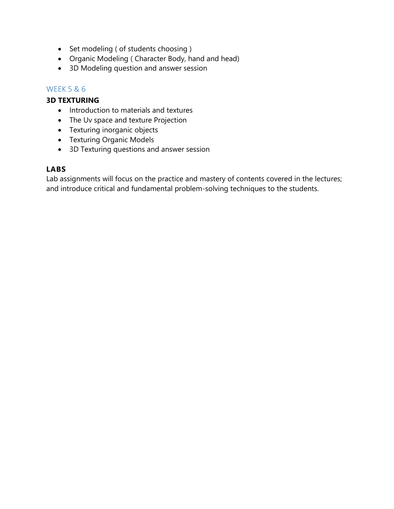- Set modeling ( of students choosing )
- Organic Modeling ( Character Body, hand and head)
- 3D Modeling question and answer session

## WEEK 5 & 6

## **3D TEXTURING**

- Introduction to materials and textures
- The Uv space and texture Projection
- Texturing inorganic objects
- Texturing Organic Models
- 3D Texturing questions and answer session

## **LABS**

Lab assignments will focus on the practice and mastery of contents covered in the lectures; and introduce critical and fundamental problem-solving techniques to the students.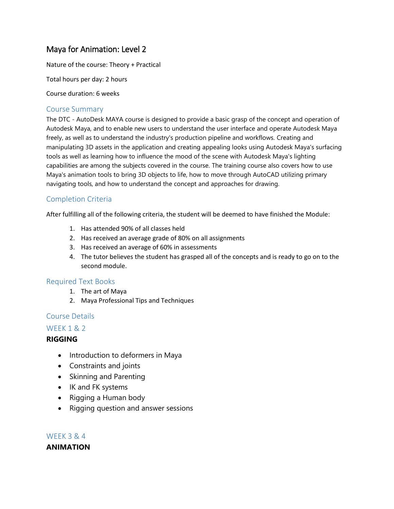## Maya for Animation: Level 2

Nature of the course: Theory + Practical

Total hours per day: 2 hours

Course duration: 6 weeks

#### Course Summary

The DTC - AutoDesk MAYA course is designed to provide a basic grasp of the concept and operation of Autodesk Maya, and to enable new users to understand the user interface and operate Autodesk Maya freely, as well as to understand the industry's production pipeline and workflows. Creating and manipulating 3D assets in the application and creating appealing looks using Autodesk Maya's surfacing tools as well as learning how to influence the mood of the scene with Autodesk Maya's lighting capabilities are among the subjects covered in the course. The training course also covers how to use Maya's animation tools to bring 3D objects to life, how to move through AutoCAD utilizing primary navigating tools, and how to understand the concept and approaches for drawing.

## Completion Criteria

After fulfilling all of the following criteria, the student will be deemed to have finished the Module:

- 1. Has attended 90% of all classes held
- 2. Has received an average grade of 80% on all assignments
- 3. Has received an average of 60% in assessments
- 4. The tutor believes the student has grasped all of the concepts and is ready to go on to the second module.

#### Required Text Books

- 1. The art of Maya
- 2. Maya Professional Tips and Techniques

## Course Details

## WEEK 1 & 2

## **RIGGING**

- Introduction to deformers in Maya
- Constraints and joints
- Skinning and Parenting
- IK and FK systems
- Rigging a Human body
- Rigging question and answer sessions

WEEK 3 & 4 **ANIMATION**